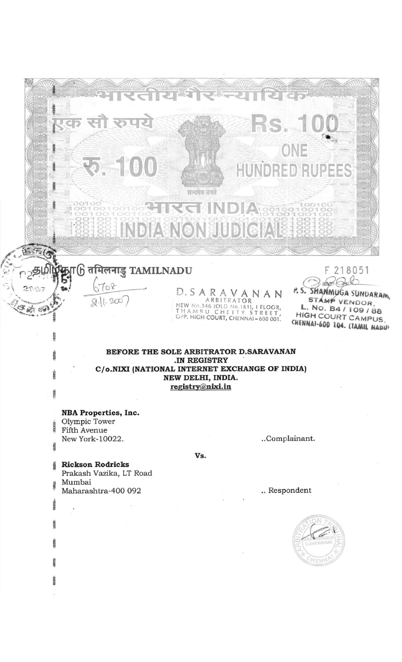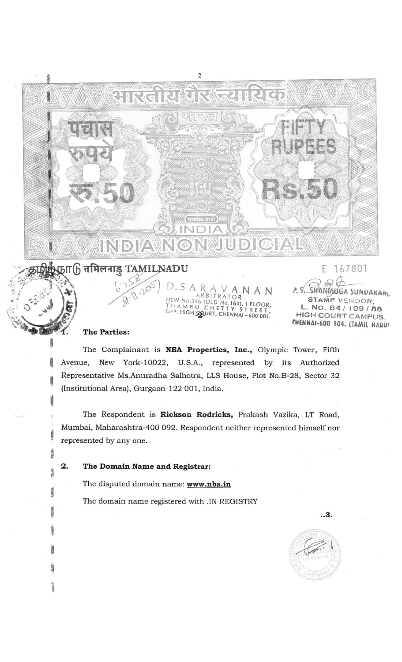# $\lambda$ फ्रा $6$  तमिलनाडु TAMILNADU

INDIAN

# The Parties:

The Complainant is NBA Properties, Inc., Olympic Tower, Fifth Avenue, New York-10022, U.S.A., represented by its Authorized Representative Ms.Anuradha Salhotra, LLS House, Plot No.B-28, Sector 32 (Institutional Area), Gurgaon-122 001, India.

К

IP Jr

W)

D.S

 $\bigcirc$   $\bigcirc$ 

N

AN

V

No.346 (OLD No.161), I FLOOR,<br>AMBU CHETTY STREET,<br>HIGH COURT, CHENNAI-600 001.

ARBITRATOR

 $\overline{\mathbf{c}}$ 

The Respondent is Rickson Rodricks, Prakash Vazika, LT Road, Mumbai, Maharashtra-400 092. Respondent neither represented himself nor represented by any one.

2.

85,58

经通道

Califo

**SEP** 

#### The Domain Name and Registrar:

The disputed domain name: www.nba.in

The domain name registered with .IN REGISTRY



E 167801

AUGA SUNDAKAM.

VENDOR. NO. 84/109/88 **HIGH COURT CAMPUS** CHENNAI-600 104. (TAMIL NADU)

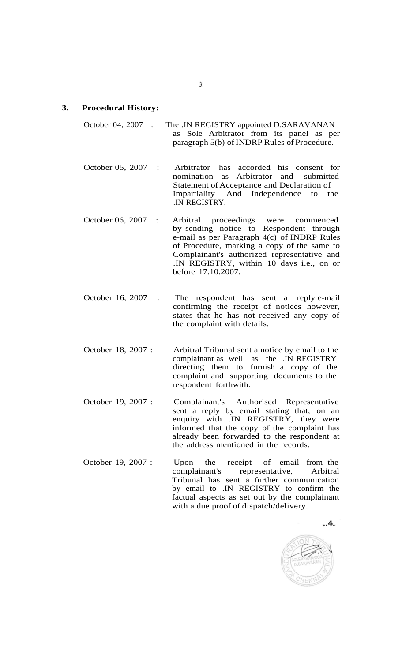# **3. Procedural History:**

October 04, 2007 : The .IN REGISTRY appointed D.SARAVANAN as Sole Arbitrator from its panel as per paragraph 5(b) of INDRP Rules of Procedure.

October 05, 2007 : Arbitrator has accorded his consent for nomination as Arbitrator and submitted Statement of Acceptance and Declaration of Impartiality And Independence to the .IN REGISTRY.

- October 06, 2007 : Arbitral proceedings were commenced by sending notice to Respondent through e-mail as per Paragraph 4(c) of INDRP Rules of Procedure, marking a copy of the same to Complainant's authorized representative and .IN REGISTRY, within 10 days i.e., on or before 17.10.2007.
- October 16, 2007 : The respondent has sent a reply e-mail confirming the receipt of notices however, states that he has not received any copy of the complaint with details.
- October 18, 2007 : Arbitral Tribunal sent a notice by email to the complainant as well as the .IN REGISTRY directing them to furnish a. copy of the complaint and supporting documents to the respondent forthwith.
- October 19, 2007 : Complainant's Authorised Representative sent a reply by email stating that, on an enquiry with .IN REGISTRY, they were informed that the copy of the complaint has already been forwarded to the respondent at the address mentioned in the records.
- October 19, 2007 : Upon the receipt of email from the complainant's representative, Arbitral Tribunal has sent a further communication by email to .IN REGISTRY to confirm the factual aspects as set out by the complainant with a due proof of dispatch/delivery.

 $.4.$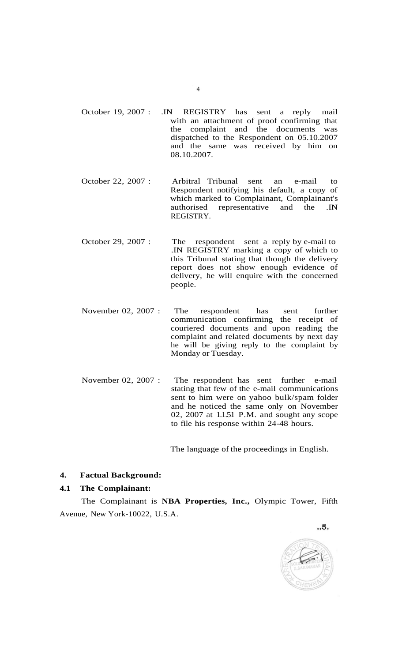- October 19, 2007 : .IN REGISTRY has sent a reply mail with an attachment of proof confirming that the complaint and the documents was dispatched to the Respondent on 05.10.2007 and the same was received by him on 08.10.2007.
- October 22, 2007 : Arbitral Tribunal sent an e-mail to Respondent notifying his default, a copy of which marked to Complainant, Complainant's authorised representative and the .IN REGISTRY.
- October 29, 2007 : The respondent sent a reply by e-mail to .IN REGISTRY marking a copy of which to this Tribunal stating that though the delivery report does not show enough evidence of delivery, he will enquire with the concerned people.
- November 02, 2007 : The respondent has sent further communication confirming the receipt of couriered documents and upon reading the complaint and related documents by next day he will be giving reply to the complaint by Monday or Tuesday.
- November 02, 2007 : The respondent has sent further e-mail stating that few of the e-mail communications sent to him were on yahoo bulk/spam folder and he noticed the same only on November 02, 2007 at 1.1.51 P.M. and sought any scope to file his response within 24-48 hours.

The language of the proceedings in English.

# **4. Factual Background:**

#### **4.1 The Complainant:**

The Complainant is **NBA Properties, Inc.,** Olympic Tower, Fifth Avenue, New York-10022, U.S.A.

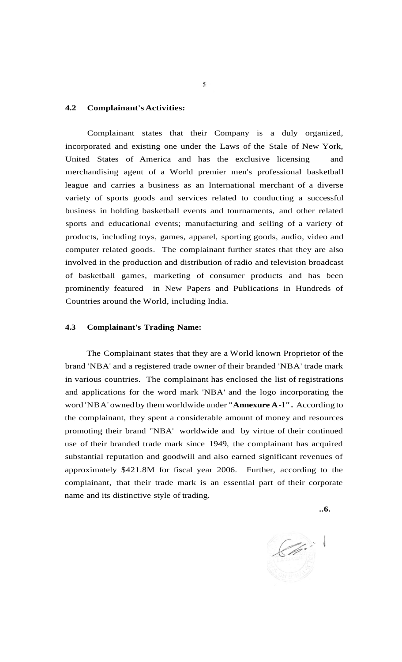#### **4.2 Complainant's Activities:**

Complainant states that their Company is a duly organized, incorporated and existing one under the Laws of the Stale of New York, United States of America and has the exclusive licensing and merchandising agent of a World premier men's professional basketball league and carries a business as an International merchant of a diverse variety of sports goods and services related to conducting a successful business in holding basketball events and tournaments, and other related sports and educational events; manufacturing and selling of a variety of products, including toys, games, apparel, sporting goods, audio, video and computer related goods. The complainant further states that they are also involved in the production and distribution of radio and television broadcast of basketball games, marketing of consumer products and has been prominently featured in New Papers and Publications in Hundreds of Countries around the World, including India.

#### **4.3 Complainant's Trading Name:**

The Complainant states that they are a World known Proprietor of the brand 'NBA' and a registered trade owner of their branded 'NBA' trade mark in various countries. The complainant has enclosed the list of registrations and applications for the word mark 'NBA' and the logo incorporating the word 'NBA' owned by them worldwide under **"Annexure A-l".** According to the complainant, they spent a considerable amount of money and resources promoting their brand "NBA' worldwide and by virtue of their continued use of their branded trade mark since 1949, the complainant has acquired substantial reputation and goodwill and also earned significant revenues of approximately \$421.8M for fiscal year 2006. Further, according to the complainant, that their trade mark is an essential part of their corporate name and its distinctive style of trading.

**..6.** 

 $\mathscr{C}$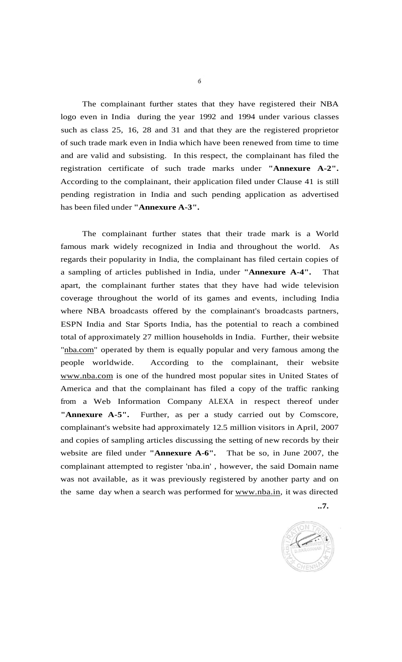The complainant further states that they have registered their NBA logo even in India during the year 1992 and 1994 under various classes such as class 25, 16, 28 and 31 and that they are the registered proprietor of such trade mark even in India which have been renewed from time to time and are valid and subsisting. In this respect, the complainant has filed the registration certificate of such trade marks under **"Annexure A-2".**  According to the complainant, their application filed under Clause 41 is still pending registration in India and such pending application as advertised has been filed under **"Annexure A-3".** 

The complainant further states that their trade mark is a World famous mark widely recognized in India and throughout the world. As regards their popularity in India, the complainant has filed certain copies of a sampling of articles published in India, under **"Annexure A-4".** That apart, the complainant further states that they have had wide television coverage throughout the world of its games and events, including India where NBA broadcasts offered by the complainant's broadcasts partners, ESPN India and Star Sports India, has the potential to reach a combined total of approximately 27 million households in India. Further, their website ["nba.com"](http://nba.com) operated by them is equally popular and very famous among the people worldwide. According to the complainant, their website [www.nba.com](http://www.nba.com) is one of the hundred most popular sites in United States of America and that the complainant has filed a copy of the traffic ranking from a Web Information Company ALEXA in respect thereof under **"Annexure A-5".** Further, as per a study carried out by Comscore, complainant's website had approximately 12.5 million visitors in April, 2007 and copies of sampling articles discussing the setting of new records by their website are filed under **"Annexure A-6".** That be so, in June 2007, the complainant attempted to register 'nba.in' , however, the said Domain name was not available, as it was previously registered by another party and on the same day when a search was performed for [www.nba.in,](http://www.nba.in) it was directed

**..7.** 

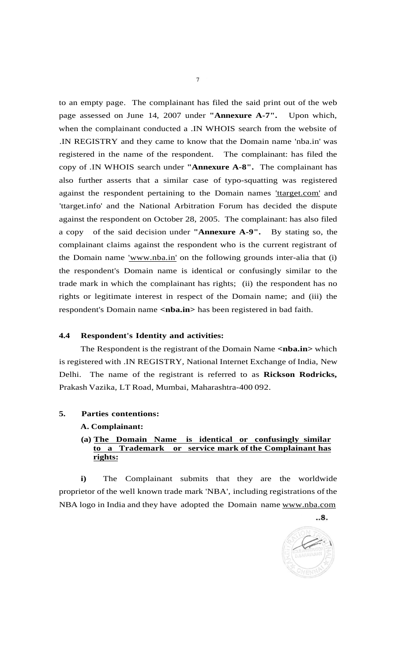to an empty page. The complainant has filed the said print out of the web page assessed on June 14, 2007 under **"Annexure A-7".** Upon which, when the complainant conducted a .IN WHOIS search from the website of .IN REGISTRY and they came to know that the Domain name 'nba.in' was registered in the name of the respondent. The complainant: has filed the copy of .IN WHOIS search under **"Annexure A-8".** The complainant has also further asserts that a similar case of typo-squatting was registered against the respondent pertaining to the Domain names ['ttarget.com' a](http://)nd 'ttarget.info' and the National Arbitration Forum has decided the dispute against the respondent on October 28, 2005. The complainant: has also filed a copy of the said decision under **"Annexure A-9".** By stating so, the complainant claims against the respondent who is the current registrant of the Domain name <u>'www.nba.in'</u> on the following grounds inter-alia that (i) the respondent's Domain name is identical or confusingly similar to the trade mark in which the complainant has rights; (ii) the respondent has no rights or legitimate interest in respect of the Domain name; and (iii) the respondent's Domain name <nba.in> has been registered in bad faith.

#### **4.4 Respondent's Identity and activities:**

The Respondent is the registrant of the Domain Name **<nba.in>** which is registered with .IN REGISTRY, National Internet Exchange of India, New Delhi. The name of the registrant is referred to as **Rickson Rodricks,**  Prakash Vazika, LT Road, Mumbai, Maharashtra-400 092.

**5. Parties contentions:** 

#### **A. Complainant:**

**(a) The Domain Name is identical or confusingly similar to a Trademark or service mark of the Complainant has rights:** 

**i)** The Complainant submits that they are the worldwide proprietor of the well known trade mark 'NBA', including registrations of the NBA logo in India and they have adopted the Domain name [www.nba.com](http://www.nba.com)



 $.8.$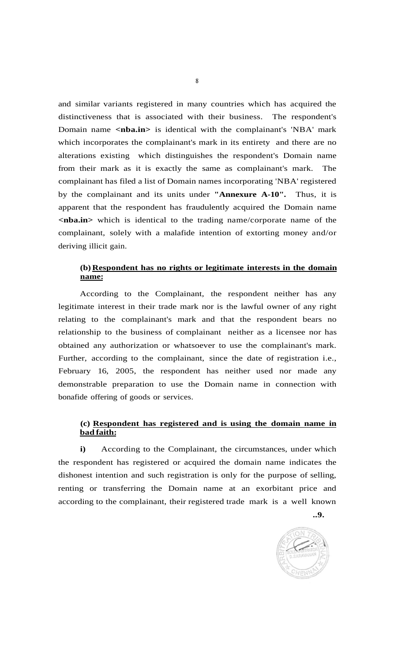and similar variants registered in many countries which has acquired the distinctiveness that is associated with their business. The respondent's Domain name <nba.in> is identical with the complainant's 'NBA' mark which incorporates the complainant's mark in its entirety and there are no alterations existing which distinguishes the respondent's Domain name from their mark as it is exactly the same as complainant's mark. The complainant has filed a list of Domain names incorporating 'NBA' registered by the complainant and its units under **"Annexure A-10".** Thus, it is apparent that the respondent has fraudulently acquired the Domain name **<nba.in>** which is identical to the trading name/corporate name of the complainant, solely with a malafide intention of extorting money and/or deriving illicit gain.

# **(b) Respondent has no rights or legitimate interests in the domain name:**

According to the Complainant, the respondent neither has any legitimate interest in their trade mark nor is the lawful owner of any right relating to the complainant's mark and that the respondent bears no relationship to the business of complainant neither as a licensee nor has obtained any authorization or whatsoever to use the complainant's mark. Further, according to the complainant, since the date of registration i.e., February 16, 2005, the respondent has neither used nor made any demonstrable preparation to use the Domain name in connection with bonafide offering of goods or services.

# **(c) Respondent has registered and is using the domain name in bad faith:**

**i)** According to the Complainant, the circumstances, under which the respondent has registered or acquired the domain name indicates the dishonest intention and such registration is only for the purpose of selling, renting or transferring the Domain name at an exorbitant price and according to the complainant, their registered trade mark is a well known

**..9.** 

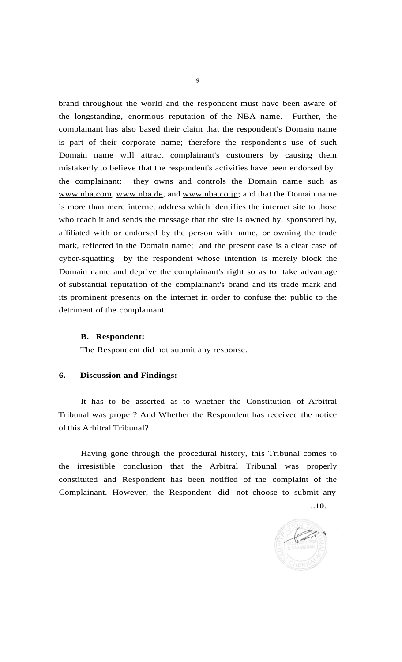brand throughout the world and the respondent must have been aware of the longstanding, enormous reputation of the NBA name. Further, the complainant has also based their claim that the respondent's Domain name is part of their corporate name; therefore the respondent's use of such Domain name will attract complainant's customers by causing them mistakenly to believe that the respondent's activities have been endorsed by the complainant; they owns and controls the Domain name such as [www.nba.com,](http://www.nba.com) [www.nba.de,](http://www.nba.de) and [www.nba.co.jp;](http://www.nba.co.jp) and that the Domain name is more than mere internet address which identifies the internet site to those who reach it and sends the message that the site is owned by, sponsored by, affiliated with or endorsed by the person with name, or owning the trade mark, reflected in the Domain name; and the present case is a clear case of cyber-squatting by the respondent whose intention is merely block the Domain name and deprive the complainant's right so as to take advantage of substantial reputation of the complainant's brand and its trade mark and its prominent presents on the internet in order to confuse the: public to the detriment of the complainant.

#### **B. Respondent:**

The Respondent did not submit any response.

#### **6. Discussion and Findings:**

It has to be asserted as to whether the Constitution of Arbitral Tribunal was proper? And Whether the Respondent has received the notice of this Arbitral Tribunal?

Having gone through the procedural history, this Tribunal comes to the irresistible conclusion that the Arbitral Tribunal was properly constituted and Respondent has been notified of the complaint of the Complainant. However, the Respondent did not choose to submit any

**..10.** 

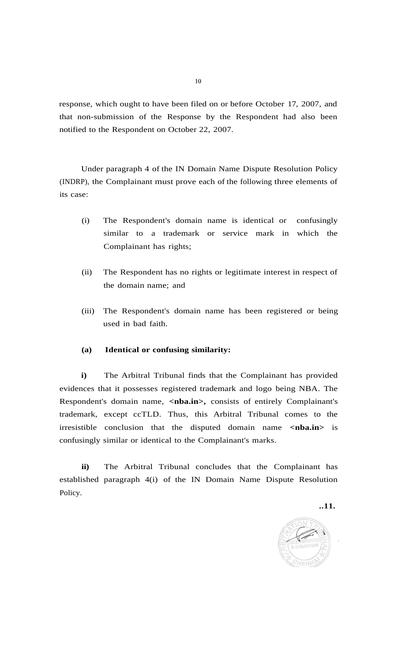response, which ought to have been filed on or before October 17, 2007, and that non-submission of the Response by the Respondent had also been notified to the Respondent on October 22, 2007.

Under paragraph 4 of the IN Domain Name Dispute Resolution Policy (INDRP), the Complainant must prove each of the following three elements of its case:

- (i) The Respondent's domain name is identical or confusingly similar to a trademark or service mark in which the Complainant has rights;
- (ii) The Respondent has no rights or legitimate interest in respect of the domain name; and
- (iii) The Respondent's domain name has been registered or being used in bad faith.

# **(a) Identical or confusing similarity:**

**i)** The Arbitral Tribunal finds that the Complainant has provided evidences that it possesses registered trademark and logo being NBA. The Respondent's domain name, <nba.in>, consists of entirely Complainant's trademark, except ccTLD. Thus, this Arbitral Tribunal comes to the irresistible conclusion that the disputed domain name **<nba.in>** is confusingly similar or identical to the Complainant's marks.

**ii)** The Arbitral Tribunal concludes that the Complainant has established paragraph 4(i) of the IN Domain Name Dispute Resolution Policy.

**..11.** 

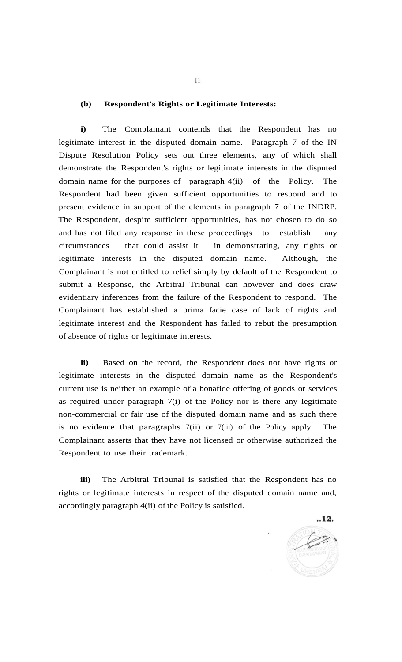#### **(b) Respondent's Rights or Legitimate Interests:**

**i)** The Complainant contends that the Respondent has no legitimate interest in the disputed domain name. Paragraph 7 of the IN Dispute Resolution Policy sets out three elements, any of which shall demonstrate the Respondent's rights or legitimate interests in the disputed domain name for the purposes of paragraph 4(ii) of the Policy. The Respondent had been given sufficient opportunities to respond and to present evidence in support of the elements in paragraph 7 of the INDRP. The Respondent, despite sufficient opportunities, has not chosen to do so and has not filed any response in these proceedings to establish any circumstances that could assist it in demonstrating, any rights or legitimate interests in the disputed domain name. Although, the Complainant is not entitled to relief simply by default of the Respondent to submit a Response, the Arbitral Tribunal can however and does draw evidentiary inferences from the failure of the Respondent to respond. The Complainant has established a prima facie case of lack of rights and legitimate interest and the Respondent has failed to rebut the presumption of absence of rights or legitimate interests.

**ii)** Based on the record, the Respondent does not have rights or legitimate interests in the disputed domain name as the Respondent's current use is neither an example of a bonafide offering of goods or services as required under paragraph 7(i) of the Policy nor is there any legitimate non-commercial or fair use of the disputed domain name and as such there is no evidence that paragraphs 7(ii) or 7(iii) of the Policy apply. The Complainant asserts that they have not licensed or otherwise authorized the Respondent to use their trademark.

**iii)** The Arbitral Tribunal is satisfied that the Respondent has no rights or legitimate interests in respect of the disputed domain name and, accordingly paragraph 4(ii) of the Policy is satisfied.

 $.12.$ 

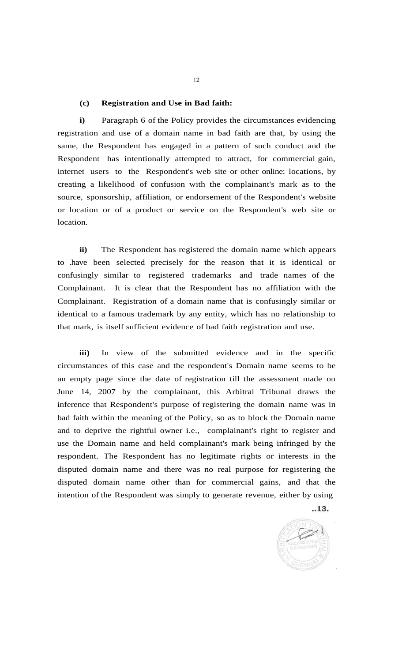#### **(c) Registration and Use in Bad faith:**

**i)** Paragraph 6 of the Policy provides the circumstances evidencing registration and use of a domain name in bad faith are that, by using the same, the Respondent has engaged in a pattern of such conduct and the Respondent has intentionally attempted to attract, for commercial gain, internet users to the Respondent's web site or other online: locations, by creating a likelihood of confusion with the complainant's mark as to the source, sponsorship, affiliation, or endorsement of the Respondent's website or location or of a product or service on the Respondent's web site or location.

**ii)** The Respondent has registered the domain name which appears to .have been selected precisely for the reason that it is identical or confusingly similar to registered trademarks and trade names of the Complainant. It is clear that the Respondent has no affiliation with the Complainant. Registration of a domain name that is confusingly similar or identical to a famous trademark by any entity, which has no relationship to that mark, is itself sufficient evidence of bad faith registration and use.

**iii)** In view of the submitted evidence and in the specific circumstances of this case and the respondent's Domain name seems to be an empty page since the date of registration till the assessment made on June 14, 2007 by the complainant, this Arbitral Tribunal draws the inference that Respondent's purpose of registering the domain name was in bad faith within the meaning of the Policy, so as to block the Domain name and to deprive the rightful owner i.e., complainant's right to register and use the Domain name and held complainant's mark being infringed by the respondent. The Respondent has no legitimate rights or interests in the disputed domain name and there was no real purpose for registering the disputed domain name other than for commercial gains, and that the intention of the Respondent was simply to generate revenue, either by using

 $.13.$ 



 $12$